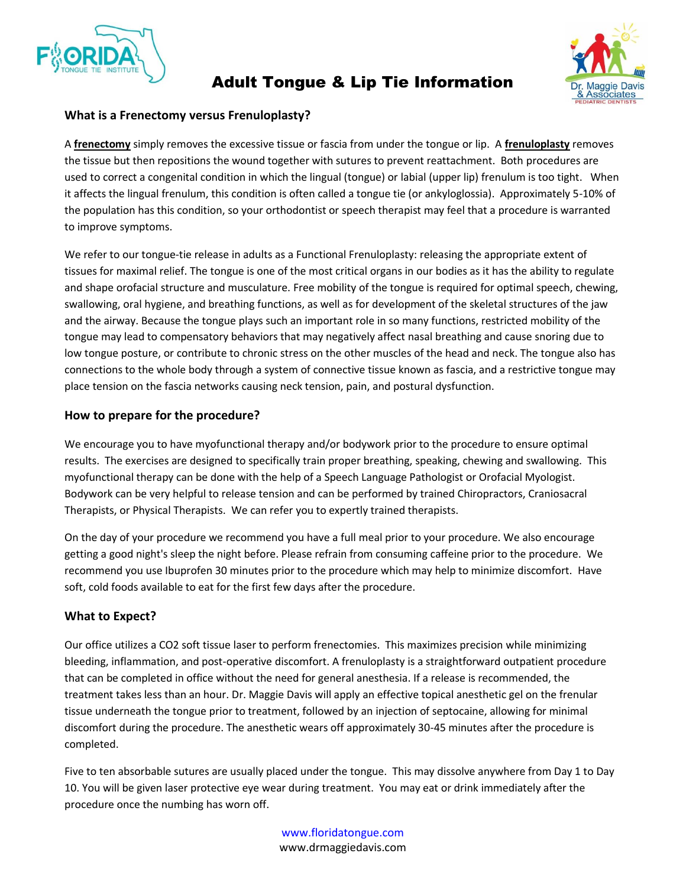

# Adult Tongue & Lip Tie Information



#### **What is a Frenectomy versus Frenuloplasty?**

A **frenectomy** simply removes the excessive tissue or fascia from under the tongue or lip. A **frenuloplasty** removes the tissue but then repositions the wound together with sutures to prevent reattachment. Both procedures are used to correct a congenital condition in which the lingual (tongue) or labial (upper lip) frenulum is too tight. When it affects the lingual frenulum, this condition is often called a tongue tie (or ankyloglossia). Approximately 5-10% of the population has this condition, so your orthodontist or speech therapist may feel that a procedure is warranted to improve symptoms.

We refer to our tongue-tie release in adults as a Functional Frenuloplasty: releasing the appropriate extent of tissues for maximal relief. The tongue is one of the most critical organs in our bodies as it has the ability to regulate and shape orofacial structure and musculature. Free mobility of the tongue is required for optimal speech, chewing, swallowing, oral hygiene, and breathing functions, as well as for development of the skeletal structures of the jaw and the airway. Because the tongue plays such an important role in so many functions, restricted mobility of the tongue may lead to compensatory behaviors that may negatively affect nasal breathing and cause snoring due to low tongue posture, or contribute to chronic stress on the other muscles of the head and neck. The tongue also has connections to the whole body through a system of connective tissue known as fascia, and a restrictive tongue may place tension on the fascia networks causing neck tension, pain, and postural dysfunction.

## **How to prepare for the procedure?**

We encourage you to have myofunctional therapy and/or bodywork prior to the procedure to ensure optimal results. The exercises are designed to specifically train proper breathing, speaking, chewing and swallowing. This myofunctional therapy can be done with the help of a Speech Language Pathologist or Orofacial Myologist. Bodywork can be very helpful to release tension and can be performed by trained Chiropractors, Craniosacral Therapists, or Physical Therapists. We can refer you to expertly trained therapists.

On the day of your procedure we recommend you have a full meal prior to your procedure. We also encourage getting a good night's sleep the night before. Please refrain from consuming caffeine prior to the procedure. We recommend you use Ibuprofen 30 minutes prior to the procedure which may help to minimize discomfort. Have soft, cold foods available to eat for the first few days after the procedure.

## **What to Expect?**

Our office utilizes a CO2 soft tissue laser to perform frenectomies. This maximizes precision while minimizing bleeding, inflammation, and post-operative discomfort. A frenuloplasty is a straightforward outpatient procedure that can be completed in office without the need for general anesthesia. If a release is recommended, the treatment takes less than an hour. Dr. Maggie Davis will apply an effective topical anesthetic gel on the frenular tissue underneath the tongue prior to treatment, followed by an injection of septocaine, allowing for minimal discomfort during the procedure. The anesthetic wears off approximately 30-45 minutes after the procedure is completed.

Five to ten absorbable sutures are usually placed under the tongue. This may dissolve anywhere from Day 1 to Day 10. You will be given laser protective eye wear during treatment. You may eat or drink immediately after the procedure once the numbing has worn off.

> [www.floridatongue.com](http://www.floridatongue.com/) www.drmaggiedavis.com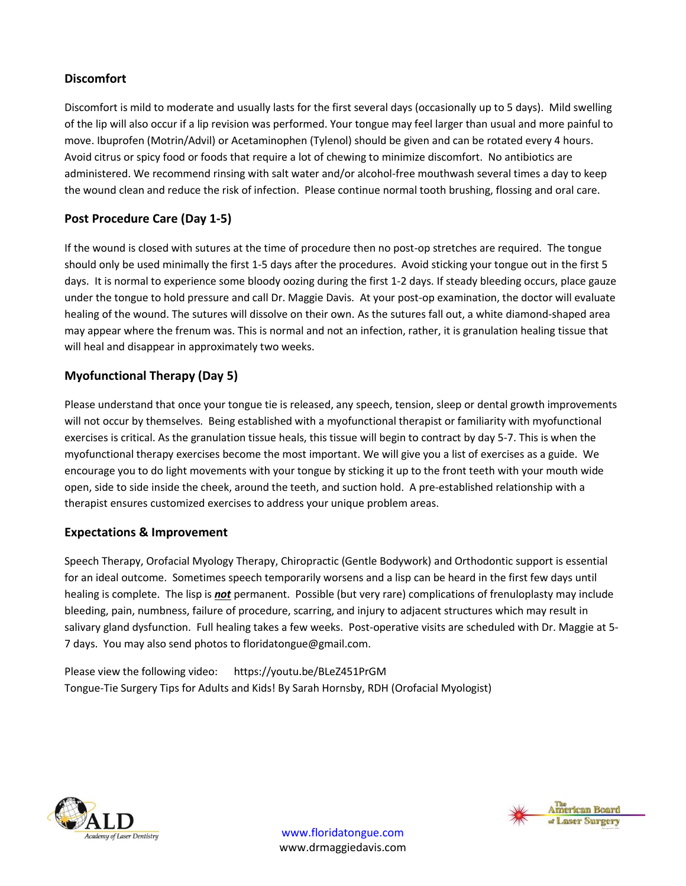## **Discomfort**

Discomfort is mild to moderate and usually lasts for the first several days (occasionally up to 5 days). Mild swelling of the lip will also occur if a lip revision was performed. Your tongue may feel larger than usual and more painful to move. Ibuprofen (Motrin/Advil) or Acetaminophen (Tylenol) should be given and can be rotated every 4 hours. Avoid citrus or spicy food or foods that require a lot of chewing to minimize discomfort. No antibiotics are administered. We recommend rinsing with salt water and/or alcohol-free mouthwash several times a day to keep the wound clean and reduce the risk of infection. Please continue normal tooth brushing, flossing and oral care.

# **Post Procedure Care (Day 1-5)**

If the wound is closed with sutures at the time of procedure then no post-op stretches are required. The tongue should only be used minimally the first 1-5 days after the procedures. Avoid sticking your tongue out in the first 5 days. It is normal to experience some bloody oozing during the first 1-2 days. If steady bleeding occurs, place gauze under the tongue to hold pressure and call Dr. Maggie Davis. At your post-op examination, the doctor will evaluate healing of the wound. The sutures will dissolve on their own. As the sutures fall out, a white diamond-shaped area may appear where the frenum was. This is normal and not an infection, rather, it is granulation healing tissue that will heal and disappear in approximately two weeks.

# **Myofunctional Therapy (Day 5)**

Please understand that once your tongue tie is released, any speech, tension, sleep or dental growth improvements will not occur by themselves. Being established with a myofunctional therapist or familiarity with myofunctional exercises is critical. As the granulation tissue heals, this tissue will begin to contract by day 5-7. This is when the myofunctional therapy exercises become the most important. We will give you a list of exercises as a guide. We encourage you to do light movements with your tongue by sticking it up to the front teeth with your mouth wide open, side to side inside the cheek, around the teeth, and suction hold. A pre-established relationship with a therapist ensures customized exercises to address your unique problem areas.

# **Expectations & Improvement**

Speech Therapy, Orofacial Myology Therapy, Chiropractic (Gentle Bodywork) and Orthodontic support is essential for an ideal outcome. Sometimes speech temporarily worsens and a lisp can be heard in the first few days until healing is complete. The lisp is *not* permanent. Possible (but very rare) complications of frenuloplasty may include bleeding, pain, numbness, failure of procedure, scarring, and injury to adjacent structures which may result in salivary gland dysfunction. Full healing takes a few weeks. Post-operative visits are scheduled with Dr. Maggie at 5- 7 days. You may also send photos to floridatongue@gmail.com.

Please view the following video: https://youtu.be/BLeZ451PrGM Tongue-Tie Surgery Tips for Adults and Kids! By Sarah Hornsby, RDH (Orofacial Myologist)





[www.floridatongue.com](http://www.floridatongue.com/) www.drmaggiedavis.com